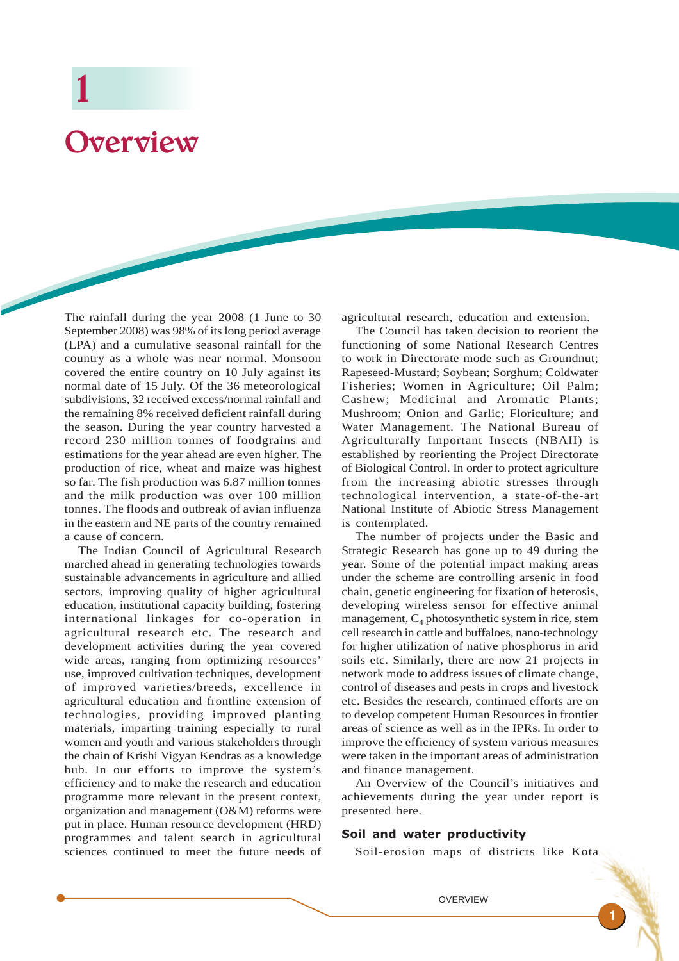# Overview

The rainfall during the year 2008 (1 June to 30 September 2008) was 98% of its long period average (LPA) and a cumulative seasonal rainfall for the country as a whole was near normal. Monsoon covered the entire country on 10 July against its normal date of 15 July. Of the 36 meteorological subdivisions, 32 received excess/normal rainfall and the remaining 8% received deficient rainfall during the season. During the year country harvested a record 230 million tonnes of foodgrains and estimations for the year ahead are even higher. The production of rice, wheat and maize was highest so far. The fish production was 6.87 million tonnes and the milk production was over 100 million tonnes. The floods and outbreak of avian influenza in the eastern and NE parts of the country remained a cause of concern.

The Indian Council of Agricultural Research marched ahead in generating technologies towards sustainable advancements in agriculture and allied sectors, improving quality of higher agricultural education, institutional capacity building, fostering international linkages for co-operation in agricultural research etc. The research and development activities during the year covered wide areas, ranging from optimizing resources' use, improved cultivation techniques, development of improved varieties/breeds, excellence in agricultural education and frontline extension of technologies, providing improved planting materials, imparting training especially to rural women and youth and various stakeholders through the chain of Krishi Vigyan Kendras as a knowledge hub. In our efforts to improve the system's efficiency and to make the research and education programme more relevant in the present context, organization and management (O&M) reforms were put in place. Human resource development (HRD) programmes and talent search in agricultural sciences continued to meet the future needs of agricultural research, education and extension.

The Council has taken decision to reorient the functioning of some National Research Centres to work in Directorate mode such as Groundnut; Rapeseed-Mustard; Soybean; Sorghum; Coldwater Fisheries; Women in Agriculture; Oil Palm; Cashew; Medicinal and Aromatic Plants; Mushroom; Onion and Garlic; Floriculture; and Water Management. The National Bureau of Agriculturally Important Insects (NBAII) is established by reorienting the Project Directorate of Biological Control. In order to protect agriculture from the increasing abiotic stresses through technological intervention, a state-of-the-art National Institute of Abiotic Stress Management is contemplated.

The number of projects under the Basic and Strategic Research has gone up to 49 during the year. Some of the potential impact making areas under the scheme are controlling arsenic in food chain, genetic engineering for fixation of heterosis, developing wireless sensor for effective animal management,  $C_4$  photosynthetic system in rice, stem cell research in cattle and buffaloes, nano-technology for higher utilization of native phosphorus in arid soils etc. Similarly, there are now 21 projects in network mode to address issues of climate change, control of diseases and pests in crops and livestock etc. Besides the research, continued efforts are on to develop competent Human Resources in frontier areas of science as well as in the IPRs. In order to improve the efficiency of system various measures were taken in the important areas of administration and finance management.

An Overview of the Council's initiatives and achievements during the year under report is presented here.

#### Soil and water productivity

Soil-erosion maps of districts like Kota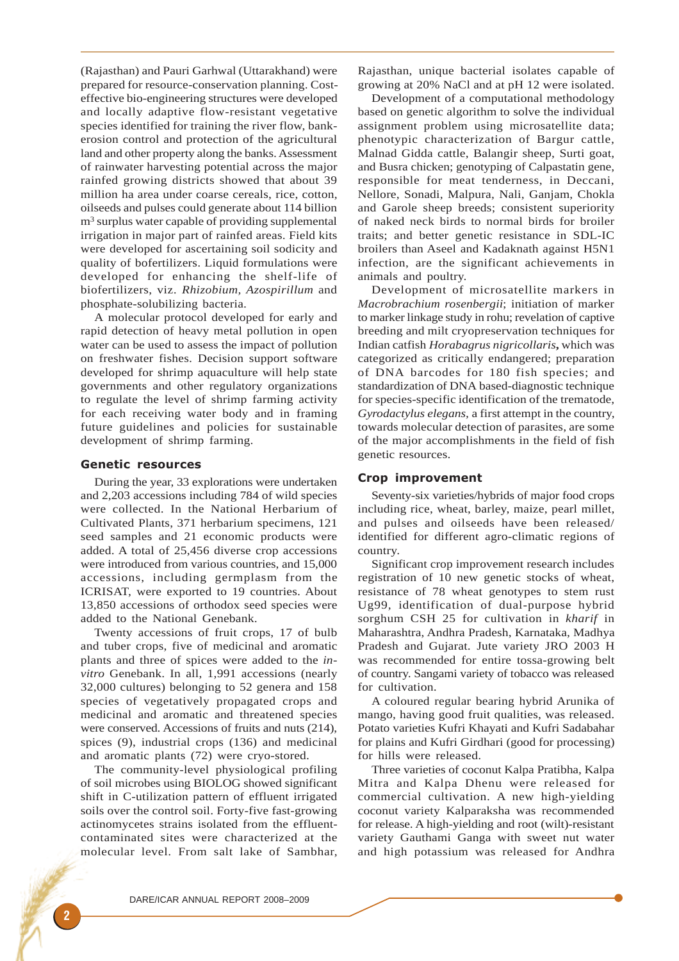(Rajasthan) and Pauri Garhwal (Uttarakhand) were prepared for resource-conservation planning. Costeffective bio-engineering structures were developed and locally adaptive flow-resistant vegetative species identified for training the river flow, bankerosion control and protection of the agricultural land and other property along the banks. Assessment of rainwater harvesting potential across the major rainfed growing districts showed that about 39 million ha area under coarse cereals, rice, cotton, oilseeds and pulses could generate about 114 billion m<sup>3</sup> surplus water capable of providing supplemental irrigation in major part of rainfed areas. Field kits were developed for ascertaining soil sodicity and quality of bofertilizers. Liquid formulations were developed for enhancing the shelf-life of biofertilizers, viz. *Rhizobium, Azospirillum* and phosphate-solubilizing bacteria.

A molecular protocol developed for early and rapid detection of heavy metal pollution in open water can be used to assess the impact of pollution on freshwater fishes. Decision support software developed for shrimp aquaculture will help state governments and other regulatory organizations to regulate the level of shrimp farming activity for each receiving water body and in framing future guidelines and policies for sustainable development of shrimp farming.

#### Genetic resources

During the year, 33 explorations were undertaken and 2,203 accessions including 784 of wild species were collected. In the National Herbarium of Cultivated Plants, 371 herbarium specimens, 121 seed samples and 21 economic products were added. A total of 25,456 diverse crop accessions were introduced from various countries, and 15,000 accessions, including germplasm from the ICRISAT, were exported to 19 countries. About 13,850 accessions of orthodox seed species were added to the National Genebank.

Twenty accessions of fruit crops, 17 of bulb and tuber crops, five of medicinal and aromatic plants and three of spices were added to the *invitro* Genebank. In all, 1,991 accessions (nearly 32,000 cultures) belonging to 52 genera and 158 species of vegetatively propagated crops and medicinal and aromatic and threatened species were conserved. Accessions of fruits and nuts (214), spices (9), industrial crops (136) and medicinal and aromatic plants (72) were cryo-stored.

The community-level physiological profiling of soil microbes using BIOLOG showed significant shift in C-utilization pattern of effluent irrigated soils over the control soil. Forty-five fast-growing actinomycetes strains isolated from the effluentcontaminated sites were characterized at the molecular level. From salt lake of Sambhar, Rajasthan, unique bacterial isolates capable of growing at 20% NaCl and at pH 12 were isolated.

Development of a computational methodology based on genetic algorithm to solve the individual assignment problem using microsatellite data; phenotypic characterization of Bargur cattle, Malnad Gidda cattle, Balangir sheep, Surti goat, and Busra chicken; genotyping of Calpastatin gene, responsible for meat tenderness, in Deccani, Nellore, Sonadi, Malpura, Nali, Ganjam, Chokla and Garole sheep breeds; consistent superiority of naked neck birds to normal birds for broiler traits; and better genetic resistance in SDL-IC broilers than Aseel and Kadaknath against H5N1 infection, are the significant achievements in animals and poultry.

Development of microsatellite markers in *Macrobrachium rosenbergii*; initiation of marker to marker linkage study in rohu; revelation of captive breeding and milt cryopreservation techniques for Indian catfish *Horabagrus nigricollaris***,** which was categorized as critically endangered; preparation of DNA barcodes for 180 fish species; and standardization of DNA based-diagnostic technique for species-specific identification of the trematode, *Gyrodactylus elegans,* a first attempt in the country, towards molecular detection of parasites, are some of the major accomplishments in the field of fish genetic resources.

#### Crop improvement

Seventy-six varieties/hybrids of major food crops including rice, wheat, barley, maize, pearl millet, and pulses and oilseeds have been released/ identified for different agro-climatic regions of country.

Significant crop improvement research includes registration of 10 new genetic stocks of wheat, resistance of 78 wheat genotypes to stem rust Ug99, identification of dual-purpose hybrid sorghum CSH 25 for cultivation in *kharif* in Maharashtra, Andhra Pradesh, Karnataka, Madhya Pradesh and Gujarat. Jute variety JRO 2003 H was recommended for entire tossa-growing belt of country. Sangami variety of tobacco was released for cultivation.

A coloured regular bearing hybrid Arunika of mango, having good fruit qualities, was released. Potato varieties Kufri Khayati and Kufri Sadabahar for plains and Kufri Girdhari (good for processing) for hills were released.

Three varieties of coconut Kalpa Pratibha, Kalpa Mitra and Kalpa Dhenu were released for commercial cultivation. A new high-yielding coconut variety Kalparaksha was recommended for release. A high-yielding and root (wilt)-resistant variety Gauthami Ganga with sweet nut water and high potassium was released for Andhra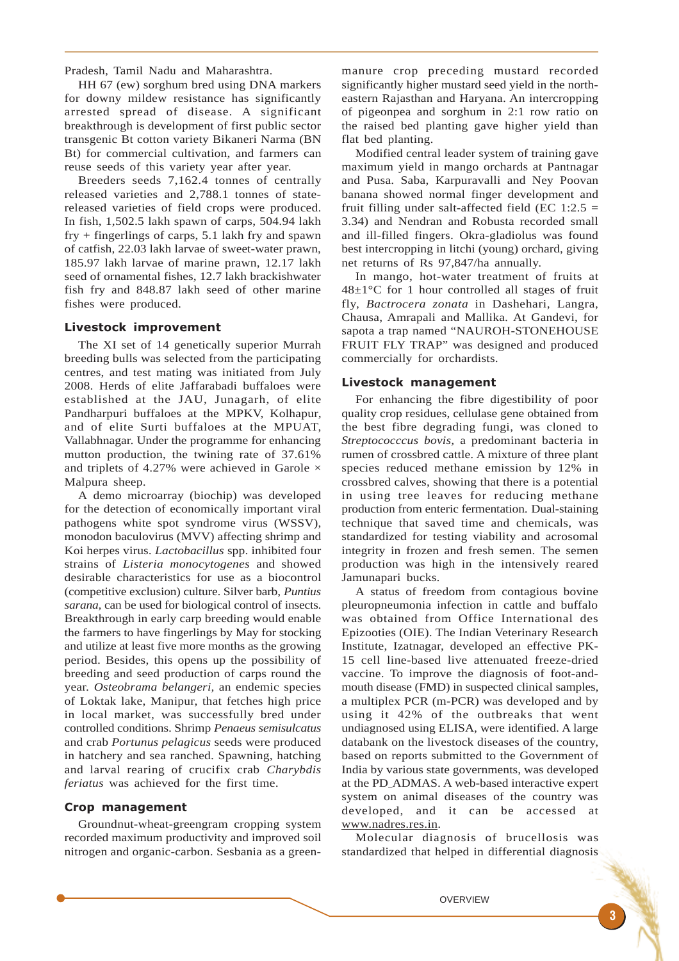Pradesh, Tamil Nadu and Maharashtra.

HH 67 (ew) sorghum bred using DNA markers for downy mildew resistance has significantly arrested spread of disease. A significant breakthrough is development of first public sector transgenic Bt cotton variety Bikaneri Narma (BN Bt) for commercial cultivation, and farmers can reuse seeds of this variety year after year.

Breeders seeds 7,162.4 tonnes of centrally released varieties and 2,788.1 tonnes of statereleased varieties of field crops were produced. In fish, 1,502.5 lakh spawn of carps, 504.94 lakh fry + fingerlings of carps, 5.1 lakh fry and spawn of catfish, 22.03 lakh larvae of sweet-water prawn, 185.97 lakh larvae of marine prawn, 12.17 lakh seed of ornamental fishes, 12.7 lakh brackishwater fish fry and 848.87 lakh seed of other marine fishes were produced.

#### Livestock improvement

The XI set of 14 genetically superior Murrah breeding bulls was selected from the participating centres, and test mating was initiated from July 2008. Herds of elite Jaffarabadi buffaloes were established at the JAU, Junagarh, of elite Pandharpuri buffaloes at the MPKV, Kolhapur, and of elite Surti buffaloes at the MPUAT, Vallabhnagar. Under the programme for enhancing mutton production, the twining rate of 37.61% and triplets of 4.27% were achieved in Garole  $\times$ Malpura sheep.

A demo microarray (biochip) was developed for the detection of economically important viral pathogens white spot syndrome virus (WSSV), monodon baculovirus (MVV) affecting shrimp and Koi herpes virus. *Lactobacillus* spp. inhibited four strains of *Listeria monocytogenes* and showed desirable characteristics for use as a biocontrol (competitive exclusion) culture. Silver barb, *Puntius sarana,* can be used for biological control of insects. Breakthrough in early carp breeding would enable the farmers to have fingerlings by May for stocking and utilize at least five more months as the growing period. Besides, this opens up the possibility of breeding and seed production of carps round the year. *Osteobrama belangeri,* an endemic species of Loktak lake, Manipur, that fetches high price in local market, was successfully bred under controlled conditions. Shrimp *Penaeus semisulcatus* and crab *Portunus pelagicus* seeds were produced in hatchery and sea ranched. Spawning, hatching and larval rearing of crucifix crab *Charybdis feriatus* was achieved for the first time.

#### Crop management

Groundnut-wheat-greengram cropping system recorded maximum productivity and improved soil nitrogen and organic-carbon. Sesbania as a greenmanure crop preceding mustard recorded significantly higher mustard seed yield in the northeastern Rajasthan and Haryana. An intercropping of pigeonpea and sorghum in 2:1 row ratio on the raised bed planting gave higher yield than flat bed planting.

Modified central leader system of training gave maximum yield in mango orchards at Pantnagar and Pusa. Saba, Karpuravalli and Ney Poovan banana showed normal finger development and fruit filling under salt-affected field (EC  $1:2.5 =$ 3.34) and Nendran and Robusta recorded small and ill-filled fingers. Okra-gladiolus was found best intercropping in litchi (young) orchard, giving net returns of Rs 97,847/ha annually.

In mango, hot-water treatment of fruits at  $48\pm1\degree$ C for 1 hour controlled all stages of fruit fly, *Bactrocera zonata* in Dashehari, Langra, Chausa, Amrapali and Mallika. At Gandevi, for sapota a trap named "NAUROH-STONEHOUSE FRUIT FLY TRAP" was designed and produced commercially for orchardists.

#### Livestock management

For enhancing the fibre digestibility of poor quality crop residues, cellulase gene obtained from the best fibre degrading fungi, was cloned to *Streptococccus bovis,* a predominant bacteria in rumen of crossbred cattle. A mixture of three plant species reduced methane emission by 12% in crossbred calves, showing that there is a potential in using tree leaves for reducing methane production from enteric fermentation. Dual-staining technique that saved time and chemicals, was standardized for testing viability and acrosomal integrity in frozen and fresh semen. The semen production was high in the intensively reared Jamunapari bucks.

A status of freedom from contagious bovine pleuropneumonia infection in cattle and buffalo was obtained from Office International des Epizooties (OIE). The Indian Veterinary Research Institute, Izatnagar, developed an effective PK-15 cell line-based live attenuated freeze-dried vaccine. To improve the diagnosis of foot-andmouth disease (FMD) in suspected clinical samples, a multiplex PCR (m-PCR) was developed and by using it 42% of the outbreaks that went undiagnosed using ELISA, were identified. A large databank on the livestock diseases of the country, based on reports submitted to the Government of India by various state governments, was developed at the PD–ADMAS. A web-based interactive expert system on animal diseases of the country was developed, and it can be accessed at www.nadres.res.in.

Molecular diagnosis of brucellosis was standardized that helped in differential diagnosis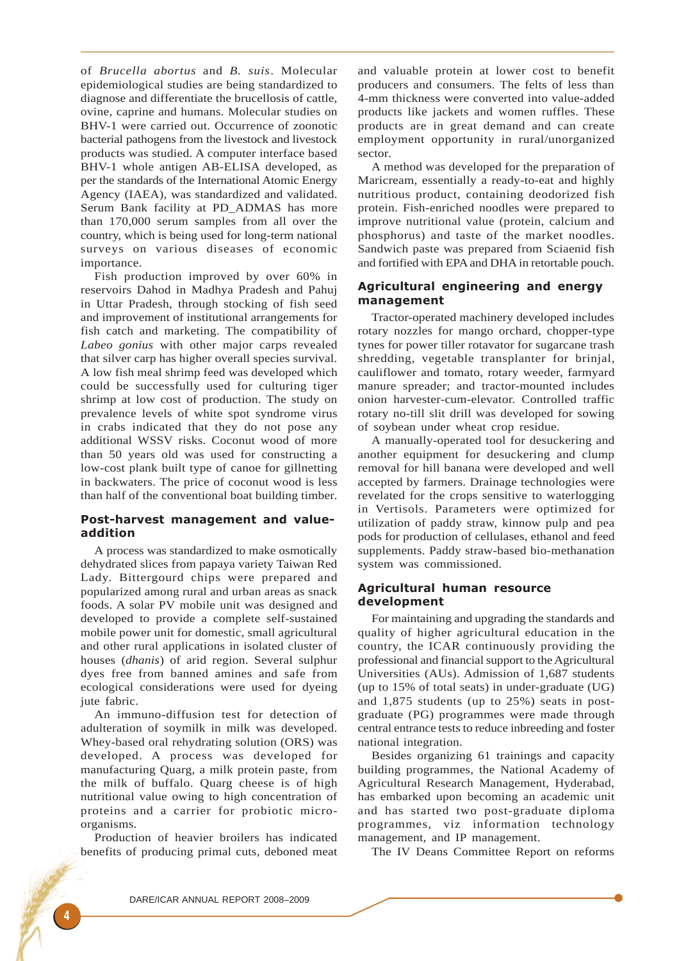of *Brucella abortus* and *B. suis*. Molecular epidemiological studies are being standardized to diagnose and differentiate the brucellosis of cattle, ovine, caprine and humans. Molecular studies on BHV-1 were carried out. Occurrence of zoonotic bacterial pathogens from the livestock and livestock products was studied. A computer interface based BHV-1 whole antigen AB-ELISA developed, as per the standards of the International Atomic Energy Agency (IAEA), was standardized and validated. Serum Bank facility at PD\_ADMAS has more than 170,000 serum samples from all over the country, which is being used for long-term national surveys on various diseases of economic importance.

Fish production improved by over 60% in reservoirs Dahod in Madhya Pradesh and Pahuj in Uttar Pradesh, through stocking of fish seed and improvement of institutional arrangements for fish catch and marketing. The compatibility of *Labeo gonius* with other major carps revealed that silver carp has higher overall species survival. A low fish meal shrimp feed was developed which could be successfully used for culturing tiger shrimp at low cost of production. The study on prevalence levels of white spot syndrome virus in crabs indicated that they do not pose any additional WSSV risks. Coconut wood of more than 50 years old was used for constructing a low-cost plank built type of canoe for gillnetting in backwaters. The price of coconut wood is less than half of the conventional boat building timber.

## Post-harvest management and valueaddition

A process was standardized to make osmotically dehydrated slices from papaya variety Taiwan Red Lady. Bittergourd chips were prepared and popularized among rural and urban areas as snack foods. A solar PV mobile unit was designed and developed to provide a complete self-sustained mobile power unit for domestic, small agricultural and other rural applications in isolated cluster of houses (*dhanis*) of arid region. Several sulphur dyes free from banned amines and safe from ecological considerations were used for dyeing jute fabric.

An immuno-diffusion test for detection of adulteration of soymilk in milk was developed. Whey-based oral rehydrating solution (ORS) was developed. A process was developed for manufacturing Quarg, a milk protein paste, from the milk of buffalo. Quarg cheese is of high nutritional value owing to high concentration of proteins and a carrier for probiotic microorganisms.

Production of heavier broilers has indicated benefits of producing primal cuts, deboned meat and valuable protein at lower cost to benefit producers and consumers. The felts of less than 4-mm thickness were converted into value-added products like jackets and women ruffles. These products are in great demand and can create employment opportunity in rural/unorganized sector.

A method was developed for the preparation of Maricream, essentially a ready-to-eat and highly nutritious product, containing deodorized fish protein. Fish-enriched noodles were prepared to improve nutritional value (protein, calcium and phosphorus) and taste of the market noodles. Sandwich paste was prepared from Sciaenid fish and fortified with EPA and DHA in retortable pouch.

## Agricultural engineering and energy management

Tractor-operated machinery developed includes rotary nozzles for mango orchard, chopper-type tynes for power tiller rotavator for sugarcane trash shredding, vegetable transplanter for brinjal, cauliflower and tomato, rotary weeder, farmyard manure spreader; and tractor-mounted includes onion harvester-cum-elevator. Controlled traffic rotary no-till slit drill was developed for sowing of soybean under wheat crop residue.

A manually-operated tool for desuckering and another equipment for desuckering and clump removal for hill banana were developed and well accepted by farmers. Drainage technologies were revelated for the crops sensitive to waterlogging in Vertisols. Parameters were optimized for utilization of paddy straw, kinnow pulp and pea pods for production of cellulases, ethanol and feed supplements. Paddy straw-based bio-methanation system was commissioned.

## Agricultural human resource development

For maintaining and upgrading the standards and quality of higher agricultural education in the country, the ICAR continuously providing the professional and financial support to the Agricultural Universities (AUs). Admission of 1,687 students (up to 15% of total seats) in under-graduate (UG) and 1,875 students (up to 25%) seats in postgraduate (PG) programmes were made through central entrance tests to reduce inbreeding and foster national integration.

Besides organizing 61 trainings and capacity building programmes, the National Academy of Agricultural Research Management, Hyderabad, has embarked upon becoming an academic unit and has started two post-graduate diploma programmes, viz information technology management, and IP management.

The IV Deans Committee Report on reforms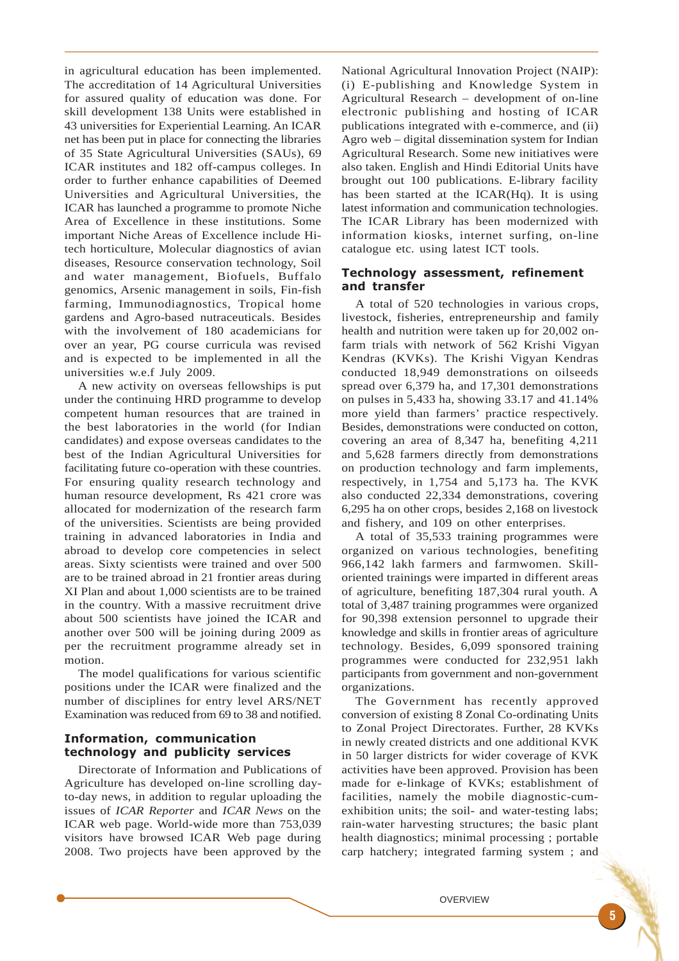in agricultural education has been implemented. The accreditation of 14 Agricultural Universities for assured quality of education was done. For skill development 138 Units were established in 43 universities for Experiential Learning. An ICAR net has been put in place for connecting the libraries of 35 State Agricultural Universities (SAUs), 69 ICAR institutes and 182 off-campus colleges. In order to further enhance capabilities of Deemed Universities and Agricultural Universities, the ICAR has launched a programme to promote Niche Area of Excellence in these institutions. Some important Niche Areas of Excellence include Hitech horticulture, Molecular diagnostics of avian diseases, Resource conservation technology, Soil and water management, Biofuels, Buffalo genomics, Arsenic management in soils, Fin-fish farming, Immunodiagnostics, Tropical home gardens and Agro-based nutraceuticals. Besides with the involvement of 180 academicians for over an year, PG course curricula was revised and is expected to be implemented in all the universities w.e.f July 2009.

A new activity on overseas fellowships is put under the continuing HRD programme to develop competent human resources that are trained in the best laboratories in the world (for Indian candidates) and expose overseas candidates to the best of the Indian Agricultural Universities for facilitating future co-operation with these countries. For ensuring quality research technology and human resource development, Rs 421 crore was allocated for modernization of the research farm of the universities. Scientists are being provided training in advanced laboratories in India and abroad to develop core competencies in select areas. Sixty scientists were trained and over 500 are to be trained abroad in 21 frontier areas during XI Plan and about 1,000 scientists are to be trained in the country. With a massive recruitment drive about 500 scientists have joined the ICAR and another over 500 will be joining during 2009 as per the recruitment programme already set in motion.

The model qualifications for various scientific positions under the ICAR were finalized and the number of disciplines for entry level ARS/NET Examination was reduced from 69 to 38 and notified.

# Information, communication technology and publicity services

Directorate of Information and Publications of Agriculture has developed on-line scrolling dayto-day news, in addition to regular uploading the issues of *ICAR Reporter* and *ICAR News* on the ICAR web page. World-wide more than 753,039 visitors have browsed ICAR Web page during 2008. Two projects have been approved by the

National Agricultural Innovation Project (NAIP): (i) E-publishing and Knowledge System in Agricultural Research – development of on-line electronic publishing and hosting of ICAR publications integrated with e-commerce, and (ii) Agro web – digital dissemination system for Indian Agricultural Research. Some new initiatives were also taken. English and Hindi Editorial Units have brought out 100 publications. E-library facility has been started at the ICAR(Hq). It is using latest information and communication technologies. The ICAR Library has been modernized with information kiosks, internet surfing, on-line catalogue etc. using latest ICT tools.

## Technology assessment, refinement and transfer

A total of 520 technologies in various crops, livestock, fisheries, entrepreneurship and family health and nutrition were taken up for 20,002 onfarm trials with network of 562 Krishi Vigyan Kendras (KVKs). The Krishi Vigyan Kendras conducted 18,949 demonstrations on oilseeds spread over 6,379 ha, and 17,301 demonstrations on pulses in 5,433 ha, showing 33.17 and 41.14% more yield than farmers' practice respectively. Besides, demonstrations were conducted on cotton, covering an area of 8,347 ha, benefiting 4,211 and 5,628 farmers directly from demonstrations on production technology and farm implements, respectively, in 1,754 and 5,173 ha. The KVK also conducted 22,334 demonstrations, covering 6,295 ha on other crops, besides 2,168 on livestock and fishery, and 109 on other enterprises.

A total of 35,533 training programmes were organized on various technologies, benefiting 966,142 lakh farmers and farmwomen. Skilloriented trainings were imparted in different areas of agriculture, benefiting 187,304 rural youth. A total of 3,487 training programmes were organized for 90,398 extension personnel to upgrade their knowledge and skills in frontier areas of agriculture technology. Besides, 6,099 sponsored training programmes were conducted for 232,951 lakh participants from government and non-government organizations.

The Government has recently approved conversion of existing 8 Zonal Co-ordinating Units to Zonal Project Directorates. Further, 28 KVKs in newly created districts and one additional KVK in 50 larger districts for wider coverage of KVK activities have been approved. Provision has been made for e-linkage of KVKs; establishment of facilities, namely the mobile diagnostic-cumexhibition units; the soil- and water-testing labs; rain-water harvesting structures; the basic plant health diagnostics; minimal processing ; portable carp hatchery; integrated farming system ; and